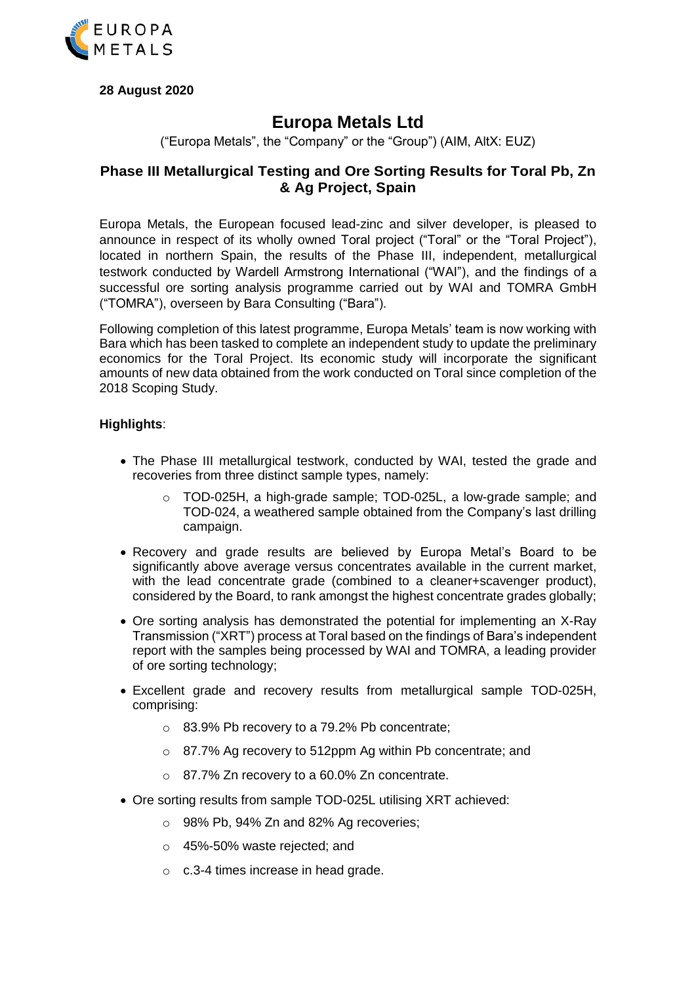

**28 August 2020**

# **Europa Metals Ltd**

("Europa Metals", the "Company" or the "Group") (AIM, AltX: EUZ)

# **Phase III Metallurgical Testing and Ore Sorting Results for Toral Pb, Zn & Ag Project, Spain**

Europa Metals, the European focused lead-zinc and silver developer, is pleased to announce in respect of its wholly owned Toral project ("Toral" or the "Toral Project"), located in northern Spain, the results of the Phase III, independent, metallurgical testwork conducted by Wardell Armstrong International ("WAI"), and the findings of a successful ore sorting analysis programme carried out by WAI and TOMRA GmbH ("TOMRA"), overseen by Bara Consulting ("Bara").

Following completion of this latest programme, Europa Metals' team is now working with Bara which has been tasked to complete an independent study to update the preliminary economics for the Toral Project. Its economic study will incorporate the significant amounts of new data obtained from the work conducted on Toral since completion of the 2018 Scoping Study.

### **Highlights**:

- The Phase III metallurgical testwork, conducted by WAI, tested the grade and recoveries from three distinct sample types, namely:
	- o TOD-025H, a high-grade sample; TOD-025L, a low-grade sample; and TOD-024, a weathered sample obtained from the Company's last drilling campaign.
- Recovery and grade results are believed by Europa Metal's Board to be significantly above average versus concentrates available in the current market, with the lead concentrate grade (combined to a cleaner+scavenger product), considered by the Board, to rank amongst the highest concentrate grades globally;
- Ore sorting analysis has demonstrated the potential for implementing an X-Ray Transmission ("XRT") process at Toral based on the findings of Bara's independent report with the samples being processed by WAI and TOMRA, a leading provider of ore sorting technology;
- Excellent grade and recovery results from metallurgical sample TOD-025H, comprising:
	- o 83.9% Pb recovery to a 79.2% Pb concentrate;
	- o 87.7% Ag recovery to 512ppm Ag within Pb concentrate; and
	- o 87.7% Zn recovery to a 60.0% Zn concentrate.
- Ore sorting results from sample TOD-025L utilising XRT achieved:
	- o 98% Pb, 94% Zn and 82% Ag recoveries;
	- o 45%-50% waste rejected; and
	- o c.3-4 times increase in head grade.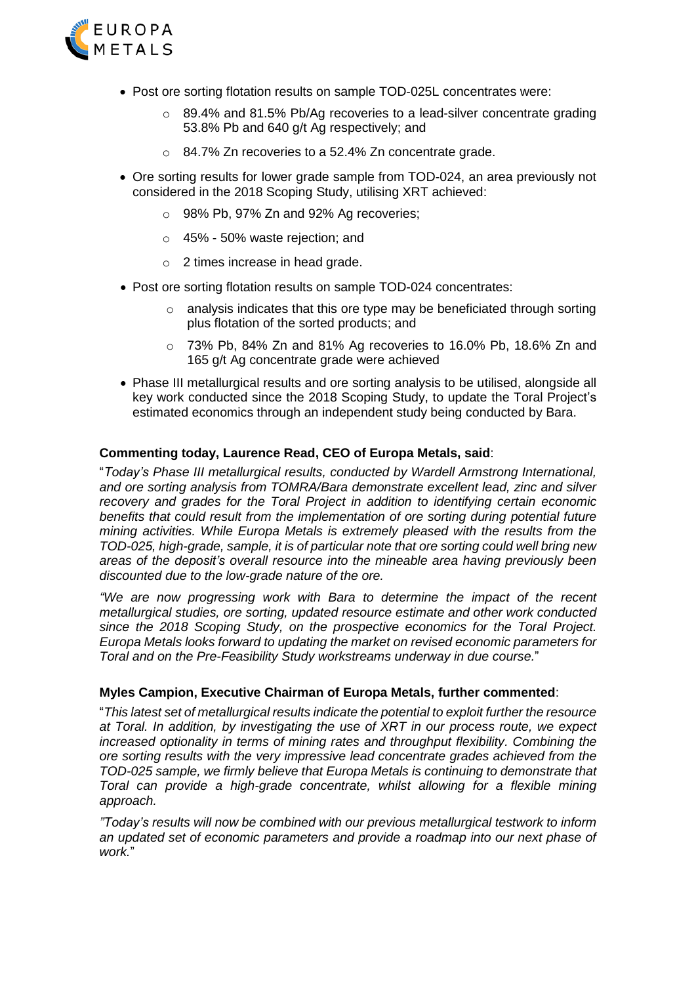

- Post ore sorting flotation results on sample TOD-025L concentrates were:
	- o 89.4% and 81.5% Pb/Ag recoveries to a lead-silver concentrate grading 53.8% Pb and 640 g/t Ag respectively; and
	- o 84.7% Zn recoveries to a 52.4% Zn concentrate grade.
- Ore sorting results for lower grade sample from TOD-024, an area previously not considered in the 2018 Scoping Study, utilising XRT achieved:
	- o 98% Pb, 97% Zn and 92% Ag recoveries;
	- o 45% 50% waste rejection; and
	- o 2 times increase in head grade.
- Post ore sorting flotation results on sample TOD-024 concentrates:
	- $\circ$  analysis indicates that this ore type may be beneficiated through sorting plus flotation of the sorted products; and
	- o 73% Pb, 84% Zn and 81% Ag recoveries to 16.0% Pb, 18.6% Zn and 165 g/t Ag concentrate grade were achieved
- Phase III metallurgical results and ore sorting analysis to be utilised, alongside all key work conducted since the 2018 Scoping Study, to update the Toral Project's estimated economics through an independent study being conducted by Bara.

#### **Commenting today, Laurence Read, CEO of Europa Metals, said**:

"*Today's Phase III metallurgical results, conducted by Wardell Armstrong International, and ore sorting analysis from TOMRA/Bara demonstrate excellent lead, zinc and silver recovery and grades for the Toral Project in addition to identifying certain economic benefits that could result from the implementation of ore sorting during potential future mining activities. While Europa Metals is extremely pleased with the results from the TOD-025, high-grade, sample, it is of particular note that ore sorting could well bring new areas of the deposit's overall resource into the mineable area having previously been discounted due to the low-grade nature of the ore.*

*"We are now progressing work with Bara to determine the impact of the recent metallurgical studies, ore sorting, updated resource estimate and other work conducted since the 2018 Scoping Study, on the prospective economics for the Toral Project. Europa Metals looks forward to updating the market on revised economic parameters for Toral and on the Pre-Feasibility Study workstreams underway in due course.*"

#### **Myles Campion, Executive Chairman of Europa Metals, further commented**:

"*This latest set of metallurgical results indicate the potential to exploit further the resource at Toral. In addition, by investigating the use of XRT in our process route, we expect increased optionality in terms of mining rates and throughput flexibility. Combining the ore sorting results with the very impressive lead concentrate grades achieved from the TOD-025 sample, we firmly believe that Europa Metals is continuing to demonstrate that Toral can provide a high-grade concentrate, whilst allowing for a flexible mining approach.*

*"Today's results will now be combined with our previous metallurgical testwork to inform an updated set of economic parameters and provide a roadmap into our next phase of work.*"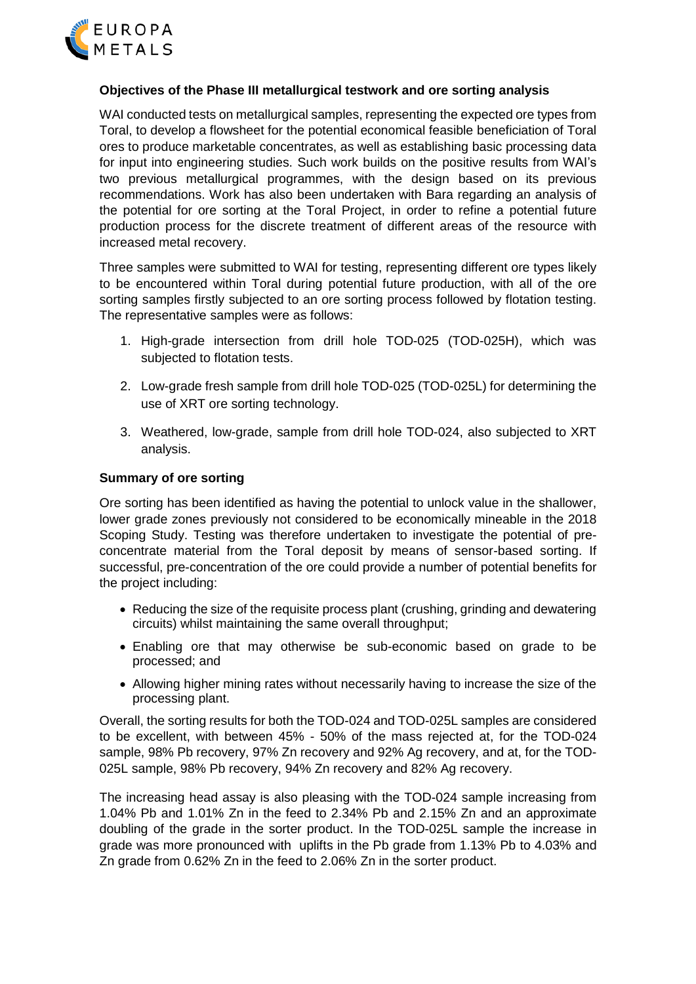

#### **Objectives of the Phase III metallurgical testwork and ore sorting analysis**

WAI conducted tests on metallurgical samples, representing the expected ore types from Toral, to develop a flowsheet for the potential economical feasible beneficiation of Toral ores to produce marketable concentrates, as well as establishing basic processing data for input into engineering studies. Such work builds on the positive results from WAI's two previous metallurgical programmes, with the design based on its previous recommendations. Work has also been undertaken with Bara regarding an analysis of the potential for ore sorting at the Toral Project, in order to refine a potential future production process for the discrete treatment of different areas of the resource with increased metal recovery.

Three samples were submitted to WAI for testing, representing different ore types likely to be encountered within Toral during potential future production, with all of the ore sorting samples firstly subjected to an ore sorting process followed by flotation testing. The representative samples were as follows:

- 1. High-grade intersection from drill hole TOD-025 (TOD-025H), which was subjected to flotation tests.
- 2. Low-grade fresh sample from drill hole TOD-025 (TOD-025L) for determining the use of XRT ore sorting technology.
- 3. Weathered, low-grade, sample from drill hole TOD-024, also subjected to XRT analysis.

### **Summary of ore sorting**

Ore sorting has been identified as having the potential to unlock value in the shallower, lower grade zones previously not considered to be economically mineable in the 2018 Scoping Study. Testing was therefore undertaken to investigate the potential of preconcentrate material from the Toral deposit by means of sensor-based sorting. If successful, pre-concentration of the ore could provide a number of potential benefits for the project including:

- Reducing the size of the requisite process plant (crushing, grinding and dewatering circuits) whilst maintaining the same overall throughput;
- Enabling ore that may otherwise be sub-economic based on grade to be processed; and
- Allowing higher mining rates without necessarily having to increase the size of the processing plant.

Overall, the sorting results for both the TOD-024 and TOD-025L samples are considered to be excellent, with between 45% - 50% of the mass rejected at, for the TOD-024 sample, 98% Pb recovery, 97% Zn recovery and 92% Ag recovery, and at, for the TOD-025L sample, 98% Pb recovery, 94% Zn recovery and 82% Ag recovery.

The increasing head assay is also pleasing with the TOD-024 sample increasing from 1.04% Pb and 1.01% Zn in the feed to 2.34% Pb and 2.15% Zn and an approximate doubling of the grade in the sorter product. In the TOD-025L sample the increase in grade was more pronounced with uplifts in the Pb grade from 1.13% Pb to 4.03% and Zn grade from 0.62% Zn in the feed to 2.06% Zn in the sorter product.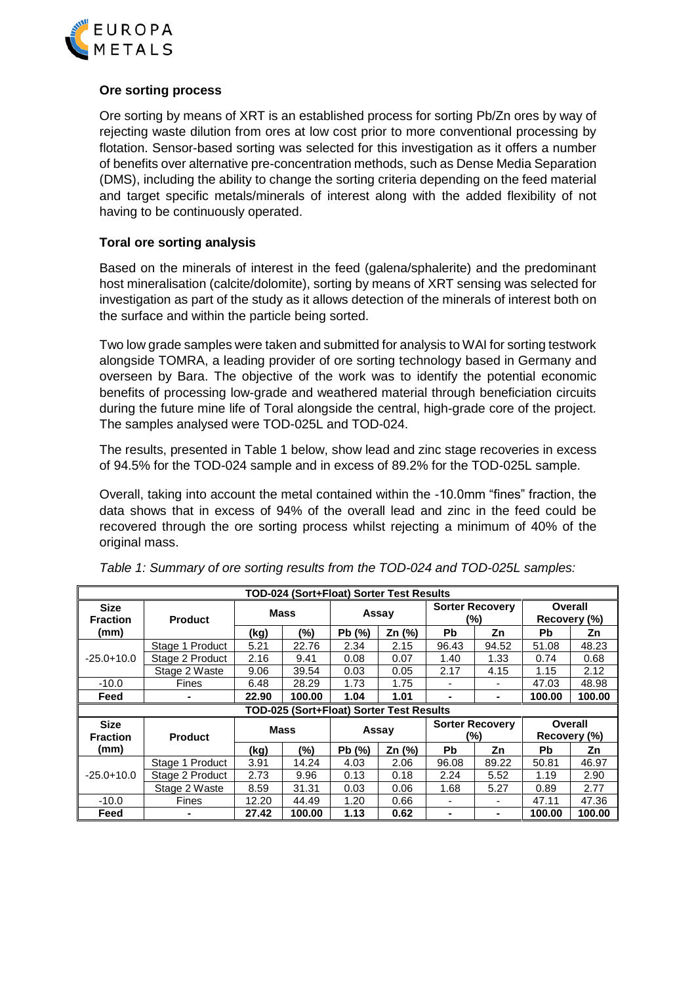

# **Ore sorting process**

Ore sorting by means of XRT is an established process for sorting Pb/Zn ores by way of rejecting waste dilution from ores at low cost prior to more conventional processing by flotation. Sensor-based sorting was selected for this investigation as it offers a number of benefits over alternative pre-concentration methods, such as Dense Media Separation (DMS), including the ability to change the sorting criteria depending on the feed material and target specific metals/minerals of interest along with the added flexibility of not having to be continuously operated.

### **Toral ore sorting analysis**

Based on the minerals of interest in the feed (galena/sphalerite) and the predominant host mineralisation (calcite/dolomite), sorting by means of XRT sensing was selected for investigation as part of the study as it allows detection of the minerals of interest both on the surface and within the particle being sorted.

Two low grade samples were taken and submitted for analysis to WAI for sorting testwork alongside TOMRA, a leading provider of ore sorting technology based in Germany and overseen by Bara. The objective of the work was to identify the potential economic benefits of processing low-grade and weathered material through beneficiation circuits during the future mine life of Toral alongside the central, high-grade core of the project. The samples analysed were TOD-025L and TOD-024.

The results, presented in Table 1 below, show lead and zinc stage recoveries in excess of 94.5% for the TOD-024 sample and in excess of 89.2% for the TOD-025L sample.

Overall, taking into account the metal contained within the -10.0mm "fines" fraction, the data shows that in excess of 94% of the overall lead and zinc in the feed could be recovered through the ore sorting process whilst rejecting a minimum of 40% of the original mass.

| TOD-024 (Sort+Float) Sorter Test Results |                 |               |             |       |                                          |                               |                        |                         |              |  |
|------------------------------------------|-----------------|---------------|-------------|-------|------------------------------------------|-------------------------------|------------------------|-------------------------|--------------|--|
| <b>Size</b><br><b>Fraction</b>           | <b>Product</b>  | <b>Mass</b>   |             | Assay |                                          | <b>Sorter Recovery</b><br>(%) |                        | Overall<br>Recovery (%) |              |  |
| (mm)                                     |                 | (kg)          | (%)         | Pb(%) | Zn (%)                                   | <b>Pb</b>                     | Zn                     | <b>Pb</b>               | Zn           |  |
|                                          | Stage 1 Product | 5.21          | 22.76       | 2.34  | 2.15                                     | 96.43                         | 94.52                  | 51.08                   | 48.23        |  |
| $-25.0+10.0$                             | Stage 2 Product | 2.16          | 9.41        | 0.08  | 0.07                                     | 1.40                          | 1.33                   | 0.74                    | 0.68         |  |
|                                          | Stage 2 Waste   | 9.06          | 39.54       | 0.03  | 0.05                                     | 2.17                          | 4.15                   | 1.15                    | 2.12         |  |
| $-10.0$                                  | <b>Fines</b>    | 28.29<br>6.48 |             | 1.73  | 1.75                                     |                               | $\blacksquare$         | 47.03                   | 48.98        |  |
| Feed                                     |                 | 22.90         | 100.00      | 1.04  | 1.01                                     |                               |                        | 100.00                  | 100.00       |  |
|                                          |                 |               |             |       |                                          |                               |                        |                         |              |  |
|                                          |                 |               |             |       | TOD-025 (Sort+Float) Sorter Test Results |                               |                        |                         |              |  |
| <b>Size</b>                              |                 |               |             |       |                                          |                               | <b>Sorter Recovery</b> |                         | Overall      |  |
| <b>Fraction</b>                          | <b>Product</b>  |               | <b>Mass</b> | Assay |                                          |                               | (%)                    |                         | Recovery (%) |  |
| (mm)                                     |                 | (kg)          | (%)         | Pb(%) | Zn (%)                                   | <b>Pb</b>                     | Zn                     | <b>Pb</b>               | Zn           |  |
|                                          | Stage 1 Product | 3.91          | 14.24       | 4.03  | 2.06                                     | 96.08                         | 89.22                  | 50.81                   | 46.97        |  |
| $-25.0 + 10.0$                           | Stage 2 Product | 2.73          | 9.96        | 0.13  | 0.18                                     | 2.24                          | 5.52                   | 1.19                    | 2.90         |  |
|                                          | Stage 2 Waste   | 8.59          | 31.31       | 0.03  | 0.06                                     | 1.68                          | 5.27                   | 0.89                    | 2.77         |  |
| $-10.0$                                  | <b>Fines</b>    | 12.20         | 44.49       | 1.20  | 0.66                                     |                               | ۰                      | 47.11                   | 47.36        |  |

|  |  | Table 1: Summary of ore sorting results from the TOD-024 and TOD-025L samples: |
|--|--|--------------------------------------------------------------------------------|
|  |  |                                                                                |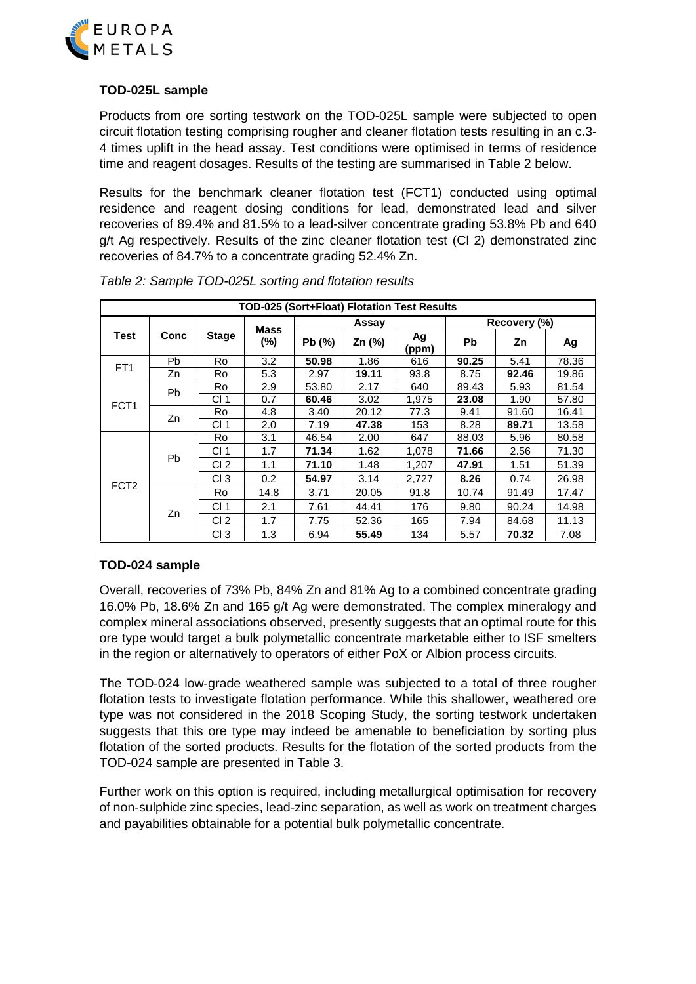

# **TOD-025L sample**

Products from ore sorting testwork on the TOD-025L sample were subjected to open circuit flotation testing comprising rougher and cleaner flotation tests resulting in an c.3- 4 times uplift in the head assay. Test conditions were optimised in terms of residence time and reagent dosages. Results of the testing are summarised in Table 2 below.

Results for the benchmark cleaner flotation test (FCT1) conducted using optimal residence and reagent dosing conditions for lead, demonstrated lead and silver recoveries of 89.4% and 81.5% to a lead-silver concentrate grading 53.8% Pb and 640 g/t Ag respectively. Results of the zinc cleaner flotation test (Cl 2) demonstrated zinc recoveries of 84.7% to a concentrate grading 52.4% Zn.

| TOD-025 (Sort+Float) Flotation Test Results |           |                 |                       |        |        |             |              |       |       |  |
|---------------------------------------------|-----------|-----------------|-----------------------|--------|--------|-------------|--------------|-------|-------|--|
|                                             |           |                 |                       |        | Assay  |             | Recovery (%) |       |       |  |
| Test                                        | Conc      | <b>Stage</b>    | <b>Mass</b><br>$(\%)$ | Pb (%) | Zn (%) | Ag<br>(ppm) | <b>Pb</b>    | Zn    | Ag    |  |
|                                             | <b>Pb</b> | Ro              | 3.2                   | 50.98  | 1.86   | 616         | 90.25        | 5.41  | 78.36 |  |
| FT <sub>1</sub>                             | Zn        | Ro              | 5.3                   | 2.97   | 19.11  | 93.8        | 8.75         | 92.46 | 19.86 |  |
|                                             | <b>Pb</b> | Ro              | 2.9                   | 53.80  | 2.17   | 640         | 89.43        | 5.93  | 81.54 |  |
| FCT <sub>1</sub>                            |           | CI 1            | 0.7                   | 60.46  | 3.02   | 1,975       | 23.08        | 1.90  | 57.80 |  |
|                                             | Zn        | Ro              | 4.8                   | 3.40   | 20.12  | 77.3        | 9.41         | 91.60 | 16.41 |  |
|                                             |           | CI 1            | 2.0                   | 7.19   | 47.38  | 153         | 8.28         | 89.71 | 13.58 |  |
|                                             |           | Ro              | 3.1                   | 46.54  | 2.00   | 647         | 88.03        | 5.96  | 80.58 |  |
|                                             |           | CI <sub>1</sub> | 1.7                   | 71.34  | 1.62   | 1,078       | 71.66        | 2.56  | 71.30 |  |
|                                             | <b>Pb</b> | CI <sub>2</sub> | 1.1                   | 71.10  | 1.48   | 1,207       | 47.91        | 1.51  | 51.39 |  |
| FCT <sub>2</sub>                            |           | CI <sub>3</sub> | 0.2                   | 54.97  | 3.14   | 2,727       | 8.26         | 0.74  | 26.98 |  |
|                                             |           | Ro              | 14.8                  | 3.71   | 20.05  | 91.8        | 10.74        | 91.49 | 17.47 |  |
|                                             | Zn        | CI <sub>1</sub> | 2.1                   | 7.61   | 44.41  | 176         | 9.80         | 90.24 | 14.98 |  |
|                                             |           | CI <sub>2</sub> | 1.7                   | 7.75   | 52.36  | 165         | 7.94         | 84.68 | 11.13 |  |
|                                             |           | CI <sub>3</sub> | 1.3                   | 6.94   | 55.49  | 134         | 5.57         | 70.32 | 7.08  |  |

### **TOD-024 sample**

Overall, recoveries of 73% Pb, 84% Zn and 81% Ag to a combined concentrate grading 16.0% Pb, 18.6% Zn and 165 g/t Ag were demonstrated. The complex mineralogy and complex mineral associations observed, presently suggests that an optimal route for this ore type would target a bulk polymetallic concentrate marketable either to ISF smelters in the region or alternatively to operators of either PoX or Albion process circuits.

The TOD-024 low-grade weathered sample was subjected to a total of three rougher flotation tests to investigate flotation performance. While this shallower, weathered ore type was not considered in the 2018 Scoping Study, the sorting testwork undertaken suggests that this ore type may indeed be amenable to beneficiation by sorting plus flotation of the sorted products. Results for the flotation of the sorted products from the TOD-024 sample are presented in Table 3.

Further work on this option is required, including metallurgical optimisation for recovery of non-sulphide zinc species, lead-zinc separation, as well as work on treatment charges and payabilities obtainable for a potential bulk polymetallic concentrate.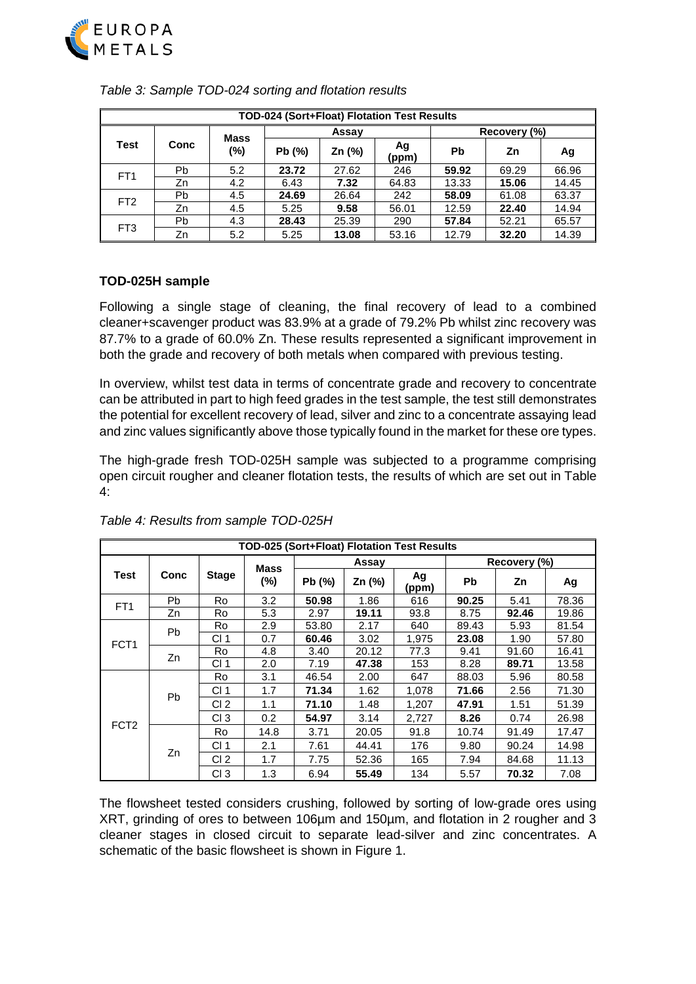

| TOD-024 (Sort+Float) Flotation Test Results |           |             |        |        |             |              |       |       |  |  |
|---------------------------------------------|-----------|-------------|--------|--------|-------------|--------------|-------|-------|--|--|
|                                             |           | <b>Mass</b> |        | Assay  |             | Recovery (%) |       |       |  |  |
| Test                                        | Conc      | $(\%)$      | Pb (%) | Zn (%) | Ag<br>(ppm) | Pb           | Ζn    | Ag    |  |  |
| FT <sub>1</sub>                             | <b>Pb</b> | 5.2         | 23.72  | 27.62  | 246         | 59.92        | 69.29 | 66.96 |  |  |
|                                             | Zn        | 4.2         | 6.43   | 7.32   | 64.83       | 13.33        | 15.06 | 14.45 |  |  |
| FT <sub>2</sub>                             | Pb        | 4.5         | 24.69  | 26.64  | 242         | 58.09        | 61.08 | 63.37 |  |  |
|                                             | Zn        | 4.5         | 5.25   | 9.58   | 56.01       | 12.59        | 22.40 | 14.94 |  |  |
| FT <sub>3</sub>                             | Pb        | 4.3         | 28.43  | 25.39  | 290         | 57.84        | 52.21 | 65.57 |  |  |
|                                             | Zn        | 5.2         | 5.25   | 13.08  | 53.16       | 12.79        | 32.20 | 14.39 |  |  |

*Table 3: Sample TOD-024 sorting and flotation results*

# **TOD-025H sample**

Following a single stage of cleaning, the final recovery of lead to a combined cleaner+scavenger product was 83.9% at a grade of 79.2% Pb whilst zinc recovery was 87.7% to a grade of 60.0% Zn. These results represented a significant improvement in both the grade and recovery of both metals when compared with previous testing.

In overview, whilst test data in terms of concentrate grade and recovery to concentrate can be attributed in part to high feed grades in the test sample, the test still demonstrates the potential for excellent recovery of lead, silver and zinc to a concentrate assaying lead and zinc values significantly above those typically found in the market for these ore types.

The high-grade fresh TOD-025H sample was subjected to a programme comprising open circuit rougher and cleaner flotation tests, the results of which are set out in Table 4:

| TOD-025 (Sort+Float) Flotation Test Results |           |                 |                       |        |        |             |              |       |       |  |
|---------------------------------------------|-----------|-----------------|-----------------------|--------|--------|-------------|--------------|-------|-------|--|
|                                             |           |                 |                       |        | Assay  |             | Recovery (%) |       |       |  |
| <b>Test</b>                                 | Conc      | <b>Stage</b>    | <b>Mass</b><br>$(\%)$ | Pb (%) | Zn (%) | Ag<br>(ppm) | <b>Pb</b>    | Zn    | Ag    |  |
| FT <sub>1</sub>                             | Pb        | <b>Ro</b>       | 3.2                   | 50.98  | 1.86   | 616         | 90.25        | 5.41  | 78.36 |  |
|                                             | Zn        | Ro              | 5.3                   | 2.97   | 19.11  | 93.8        | 8.75         | 92.46 | 19.86 |  |
|                                             | <b>Pb</b> | Ro              | 2.9                   | 53.80  | 2.17   | 640         | 89.43        | 5.93  | 81.54 |  |
| FCT <sub>1</sub>                            |           | CI <sub>1</sub> | 0.7                   | 60.46  | 3.02   | 1,975       | 23.08        | 1.90  | 57.80 |  |
|                                             | Zn        | Ro              | 4.8                   | 3.40   | 20.12  | 77.3        | 9.41         | 91.60 | 16.41 |  |
|                                             |           | CI <sub>1</sub> | 2.0                   | 7.19   | 47.38  | 153         | 8.28         | 89.71 | 13.58 |  |
|                                             |           | Ro              | 3.1                   | 46.54  | 2.00   | 647         | 88.03        | 5.96  | 80.58 |  |
|                                             | <b>Pb</b> | CI <sub>1</sub> | 1.7                   | 71.34  | 1.62   | 1,078       | 71.66        | 2.56  | 71.30 |  |
|                                             |           | CI <sub>2</sub> | 1.1                   | 71.10  | 1.48   | 1,207       | 47.91        | 1.51  | 51.39 |  |
| FCT <sub>2</sub>                            |           | CI <sub>3</sub> | 0.2                   | 54.97  | 3.14   | 2,727       | 8.26         | 0.74  | 26.98 |  |
|                                             |           | Ro              | 14.8                  | 3.71   | 20.05  | 91.8        | 10.74        | 91.49 | 17.47 |  |
|                                             | Zn        | CI <sub>1</sub> | 2.1                   | 7.61   | 44.41  | 176         | 9.80         | 90.24 | 14.98 |  |
|                                             |           | CI <sub>2</sub> | 1.7                   | 7.75   | 52.36  | 165         | 7.94         | 84.68 | 11.13 |  |
|                                             |           | CI <sub>3</sub> | 1.3                   | 6.94   | 55.49  | 134         | 5.57         | 70.32 | 7.08  |  |

*Table 4: Results from sample TOD-025H*

The flowsheet tested considers crushing, followed by sorting of low-grade ores using XRT, grinding of ores to between 106µm and 150µm, and flotation in 2 rougher and 3 cleaner stages in closed circuit to separate lead-silver and zinc concentrates. A schematic of the basic flowsheet is shown in Figure 1.